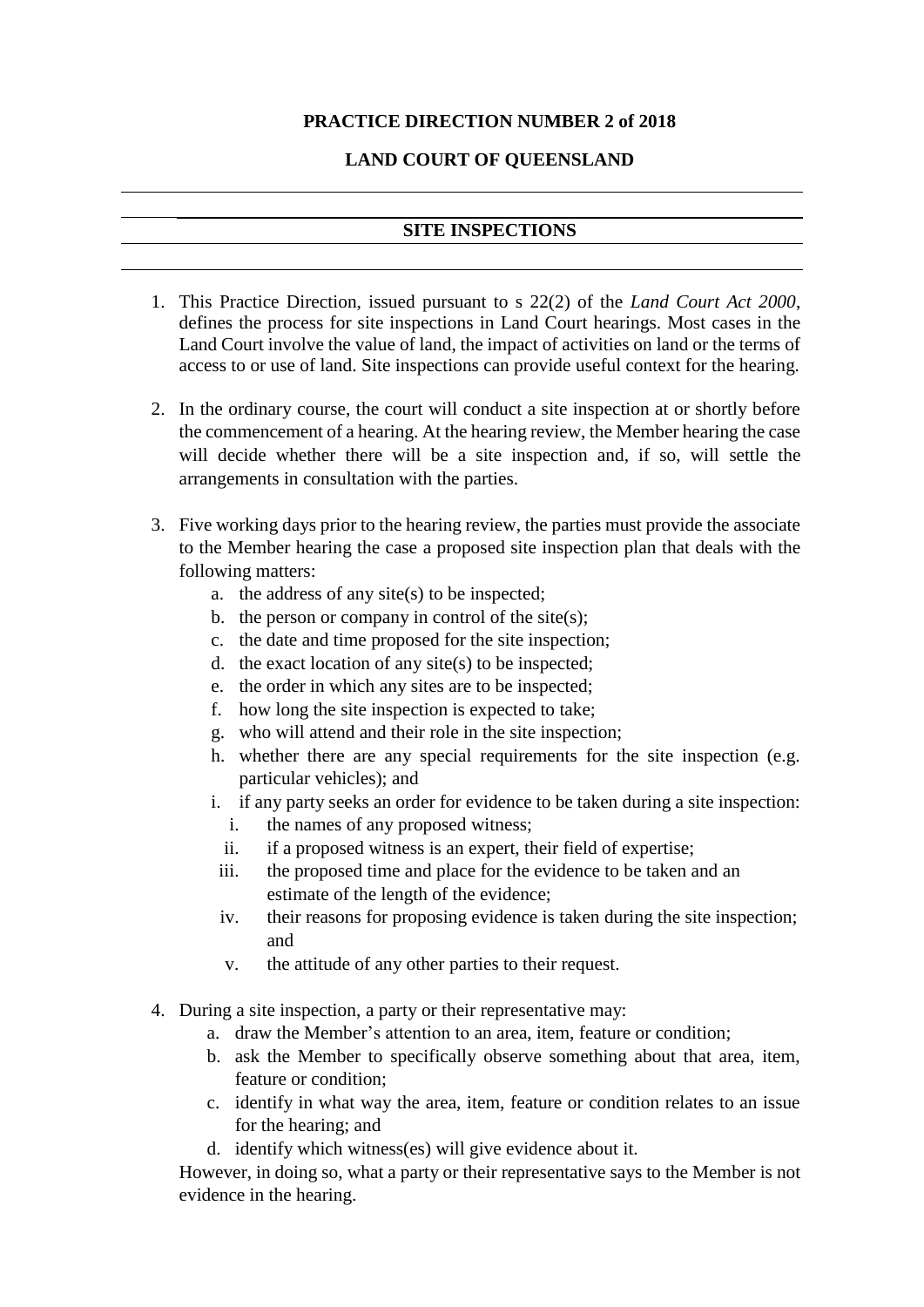## **PRACTICE DIRECTION NUMBER 2 of 2018**

## **LAND COURT OF QUEENSLAND**

## **SITE INSPECTIONS**

- 1. This Practice Direction, issued pursuant to s 22(2) of the *Land Court Act 2000*, defines the process for site inspections in Land Court hearings. Most cases in the Land Court involve the value of land, the impact of activities on land or the terms of access to or use of land. Site inspections can provide useful context for the hearing.
- 2. In the ordinary course, the court will conduct a site inspection at or shortly before the commencement of a hearing. At the hearing review, the Member hearing the case will decide whether there will be a site inspection and, if so, will settle the arrangements in consultation with the parties.
- 3. Five working days prior to the hearing review, the parties must provide the associate to the Member hearing the case a proposed site inspection plan that deals with the following matters:
	- a. the address of any site(s) to be inspected;
	- b. the person or company in control of the site $(s)$ ;
	- c. the date and time proposed for the site inspection;
	- d. the exact location of any site(s) to be inspected;
	- e. the order in which any sites are to be inspected;
	- f. how long the site inspection is expected to take;
	- g. who will attend and their role in the site inspection;
	- h. whether there are any special requirements for the site inspection (e.g. particular vehicles); and
	- i. if any party seeks an order for evidence to be taken during a site inspection:
		- i. the names of any proposed witness;
		- ii. if a proposed witness is an expert, their field of expertise;
	- iii. the proposed time and place for the evidence to be taken and an estimate of the length of the evidence;
	- iv. their reasons for proposing evidence is taken during the site inspection; and
	- v. the attitude of any other parties to their request.
- 4. During a site inspection, a party or their representative may:
	- a. draw the Member's attention to an area, item, feature or condition;
	- b. ask the Member to specifically observe something about that area, item, feature or condition;
	- c. identify in what way the area, item, feature or condition relates to an issue for the hearing; and
	- d. identify which witness(es) will give evidence about it.

However, in doing so, what a party or their representative says to the Member is not evidence in the hearing.